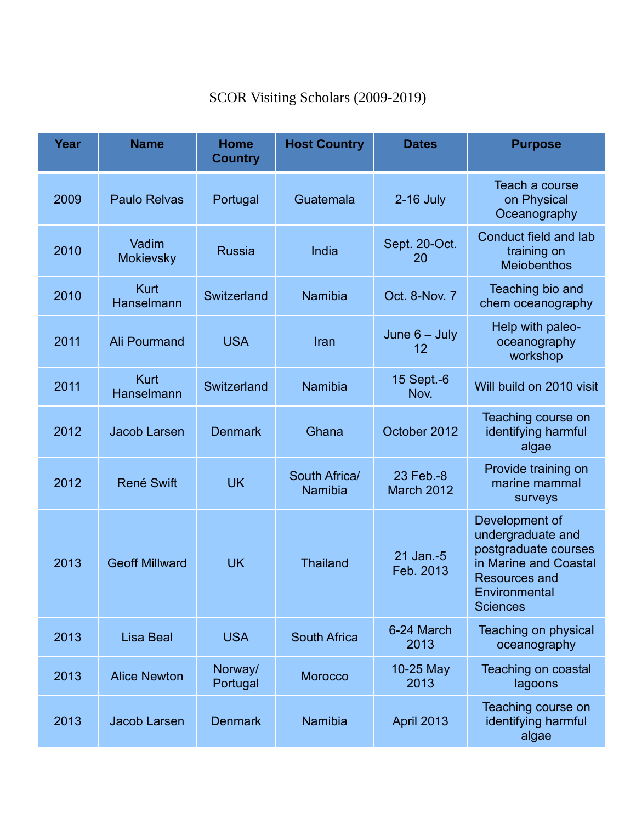## SCOR Visiting Scholars (2009-2019)

| Year | <b>Name</b>               | <b>Home</b><br><b>Country</b> | <b>Host Country</b>      | <b>Dates</b>                         | <b>Purpose</b>                                                                                                                                   |
|------|---------------------------|-------------------------------|--------------------------|--------------------------------------|--------------------------------------------------------------------------------------------------------------------------------------------------|
| 2009 | <b>Paulo Relvas</b>       | Portugal                      | Guatemala                | $2-16$ July                          | Teach a course<br>on Physical<br>Oceanography                                                                                                    |
| 2010 | Vadim<br><b>Mokievsky</b> | <b>Russia</b>                 | India                    | Sept. 20-Oct.<br>20                  | Conduct field and lab<br>training on<br><b>Meiobenthos</b>                                                                                       |
| 2010 | <b>Kurt</b><br>Hanselmann | Switzerland                   | <b>Namibia</b>           | Oct. 8-Nov. 7                        | Teaching bio and<br>chem oceanography                                                                                                            |
| 2011 | <b>Ali Pourmand</b>       | <b>USA</b>                    | Iran                     | June $6 -$ July<br>$12 \overline{ }$ | Help with paleo-<br>oceanography<br>workshop                                                                                                     |
| 2011 | <b>Kurt</b><br>Hanselmann | Switzerland                   | <b>Namibia</b>           | 15 Sept.-6<br>Nov.                   | Will build on 2010 visit                                                                                                                         |
| 2012 | <b>Jacob Larsen</b>       | <b>Denmark</b>                | Ghana                    | October 2012                         | Teaching course on<br>identifying harmful<br>algae                                                                                               |
| 2012 | <b>René Swift</b>         | <b>UK</b>                     | South Africa/<br>Namibia | 23 Feb.-8<br>March 2012              | Provide training on<br>marine mammal<br>surveys                                                                                                  |
| 2013 | <b>Geoff Millward</b>     | <b>UK</b>                     | <b>Thailand</b>          | 21 Jan.-5<br>Feb. 2013               | Development of<br>undergraduate and<br>postgraduate courses<br>in Marine and Coastal<br><b>Resources and</b><br>Environmental<br><b>Sciences</b> |
| 2013 | <b>Lisa Beal</b>          | <b>USA</b>                    | <b>South Africa</b>      | 6-24 March<br>2013                   | Teaching on physical<br>oceanography                                                                                                             |
| 2013 | <b>Alice Newton</b>       | Norway/<br>Portugal           | <b>Morocco</b>           | 10-25 May<br>2013                    | <b>Teaching on coastal</b><br>lagoons                                                                                                            |
| 2013 | Jacob Larsen              | <b>Denmark</b>                | <b>Namibia</b>           | <b>April 2013</b>                    | Teaching course on<br>identifying harmful<br>algae                                                                                               |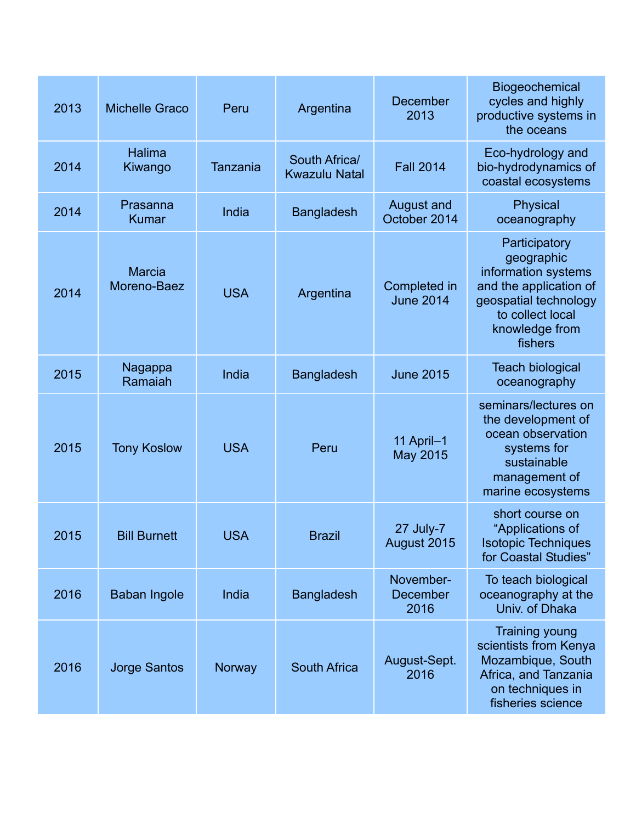| 2013 | <b>Michelle Graco</b>        | Peru            | Argentina                             | December<br>2013                  | Biogeochemical<br>cycles and highly<br>productive systems in<br>the oceans                                                                             |
|------|------------------------------|-----------------|---------------------------------------|-----------------------------------|--------------------------------------------------------------------------------------------------------------------------------------------------------|
| 2014 | Halima<br>Kiwango            | <b>Tanzania</b> | South Africa/<br><b>Kwazulu Natal</b> | <b>Fall 2014</b>                  | Eco-hydrology and<br>bio-hydrodynamics of<br>coastal ecosystems                                                                                        |
| 2014 | Prasanna<br><b>Kumar</b>     | India           | <b>Bangladesh</b>                     | <b>August and</b><br>October 2014 | Physical<br>oceanography                                                                                                                               |
| 2014 | <b>Marcia</b><br>Moreno-Baez | <b>USA</b>      | Argentina                             | Completed in<br><b>June 2014</b>  | Participatory<br>geographic<br>information systems<br>and the application of<br>geospatial technology<br>to collect local<br>knowledge from<br>fishers |
| 2015 | Nagappa<br>Ramaiah           | India           | <b>Bangladesh</b>                     | <b>June 2015</b>                  | <b>Teach biological</b><br>oceanography                                                                                                                |
| 2015 | <b>Tony Koslow</b>           | <b>USA</b>      | Peru                                  | 11 April-1<br>May 2015            | seminars/lectures on<br>the development of<br>ocean observation<br>systems for<br>sustainable<br>management of<br>marine ecosystems                    |
| 2015 | <b>Bill Burnett</b>          | <b>USA</b>      | <b>Brazil</b>                         | 27 July-7<br>August 2015          | short course on<br>"Applications of<br><b>Isotopic Techniques</b><br>for Coastal Studies"                                                              |
| 2016 | <b>Baban Ingole</b>          | India           | <b>Bangladesh</b>                     | November-<br>December<br>2016     | To teach biological<br>oceanography at the<br>Univ. of Dhaka                                                                                           |
| 2016 | <b>Jorge Santos</b>          | Norway          | <b>South Africa</b>                   | August-Sept.<br>2016              | <b>Training young</b><br>scientists from Kenya<br>Mozambique, South<br>Africa, and Tanzania<br>on techniques in<br>fisheries science                   |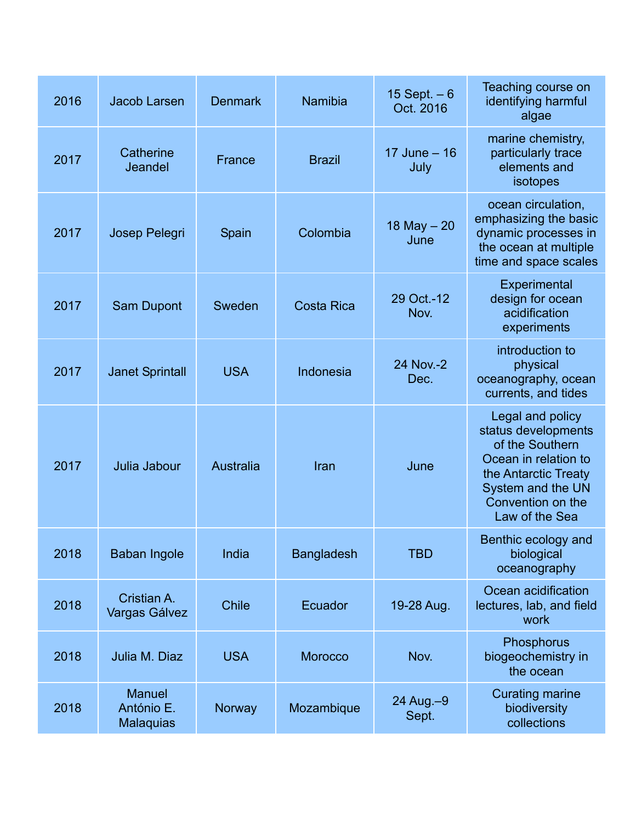| 2016 | Jacob Larsen                                    | <b>Denmark</b>   | Namibia           | 15 Sept. $-6$<br>Oct. 2016 | Teaching course on<br>identifying harmful<br>algae                                                                                                                     |
|------|-------------------------------------------------|------------------|-------------------|----------------------------|------------------------------------------------------------------------------------------------------------------------------------------------------------------------|
| 2017 | Catherine<br>Jeandel                            | France           | <b>Brazil</b>     | 17 June $-16$<br>July      | marine chemistry,<br>particularly trace<br>elements and<br>isotopes                                                                                                    |
| 2017 | Josep Pelegri                                   | Spain            | Colombia          | 18 May $-20$<br>June       | ocean circulation,<br>emphasizing the basic<br>dynamic processes in<br>the ocean at multiple<br>time and space scales                                                  |
| 2017 | Sam Dupont                                      | Sweden           | <b>Costa Rica</b> | 29 Oct.-12<br>Nov.         | Experimental<br>design for ocean<br>acidification<br>experiments                                                                                                       |
| 2017 | <b>Janet Sprintall</b>                          | <b>USA</b>       | Indonesia         | 24 Nov.-2<br>Dec.          | introduction to<br>physical<br>oceanography, ocean<br>currents, and tides                                                                                              |
| 2017 | Julia Jabour                                    | <b>Australia</b> | Iran              | June                       | Legal and policy<br>status developments<br>of the Southern<br>Ocean in relation to<br>the Antarctic Treaty<br>System and the UN<br>Convention on the<br>Law of the Sea |
| 2018 | <b>Baban Ingole</b>                             | India            | <b>Bangladesh</b> | <b>TBD</b>                 | Benthic ecology and<br>biological<br>oceanography                                                                                                                      |
| 2018 | Cristian A.<br>Vargas Gálvez                    | <b>Chile</b>     | Ecuador           | 19-28 Aug.                 | Ocean acidification<br>lectures, lab, and field<br>work                                                                                                                |
| 2018 | Julia M. Diaz                                   | <b>USA</b>       | <b>Morocco</b>    | Nov.                       | Phosphorus<br>biogeochemistry in<br>the ocean                                                                                                                          |
| 2018 | <b>Manuel</b><br>António E.<br><b>Malaquias</b> | Norway           | Mozambique        | 24 Aug. - 9<br>Sept.       | <b>Curating marine</b><br>biodiversity<br>collections                                                                                                                  |